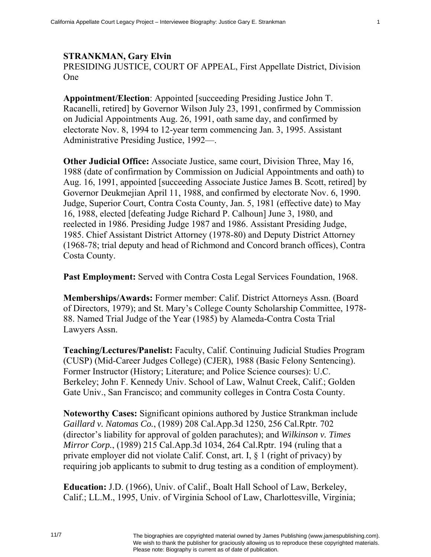## **STRANKMAN, Gary Elvin**

PRESIDING JUSTICE, COURT OF APPEAL, First Appellate District, Division One

**Appointment/Election**: Appointed [succeeding Presiding Justice John T. Racanelli, retired] by Governor Wilson July 23, 1991, confirmed by Commission on Judicial Appointments Aug. 26, 1991, oath same day, and confirmed by electorate Nov. 8, 1994 to 12-year term commencing Jan. 3, 1995. Assistant Administrative Presiding Justice, 1992—.

**Other Judicial Office:** Associate Justice, same court, Division Three, May 16, 1988 (date of confirmation by Commission on Judicial Appointments and oath) to Aug. 16, 1991, appointed [succeeding Associate Justice James B. Scott, retired] by Governor Deukmejian April 11, 1988, and confirmed by electorate Nov. 6, 1990. Judge, Superior Court, Contra Costa County, Jan. 5, 1981 (effective date) to May 16, 1988, elected [defeating Judge Richard P. Calhoun] June 3, 1980, and reelected in 1986. Presiding Judge 1987 and 1986. Assistant Presiding Judge, 1985. Chief Assistant District Attorney (1978-80) and Deputy District Attorney (1968-78; trial deputy and head of Richmond and Concord branch offices), Contra Costa County.

**Past Employment:** Served with Contra Costa Legal Services Foundation, 1968.

**Memberships/Awards:** Former member: Calif. District Attorneys Assn. (Board of Directors, 1979); and St. Mary's College County Scholarship Committee, 1978- 88. Named Trial Judge of the Year (1985) by Alameda-Contra Costa Trial Lawyers Assn.

**Teaching/Lectures/Panelist:** Faculty, Calif. Continuing Judicial Studies Program (CUSP) (Mid-Career Judges College) (CJER), 1988 (Basic Felony Sentencing). Former Instructor (History; Literature; and Police Science courses): U.C. Berkeley; John F. Kennedy Univ. School of Law, Walnut Creek, Calif.; Golden Gate Univ., San Francisco; and community colleges in Contra Costa County.

**Noteworthy Cases:** Significant opinions authored by Justice Strankman include *Gaillard v. Natomas Co.*, (1989) 208 Cal.App.3d 1250, 256 Cal.Rptr. 702 (director's liability for approval of golden parachutes); and *Wilkinson v. Times Mirror Corp.*, (1989) 215 Cal.App.3d 1034, 264 Cal.Rptr. 194 (ruling that a private employer did not violate Calif. Const, art. I, § 1 (right of privacy) by requiring job applicants to submit to drug testing as a condition of employment).

**Education:** J.D. (1966), Univ. of Calif., Boalt Hall School of Law, Berkeley, Calif.; LL.M., 1995, Univ. of Virginia School of Law, Charlottesville, Virginia;